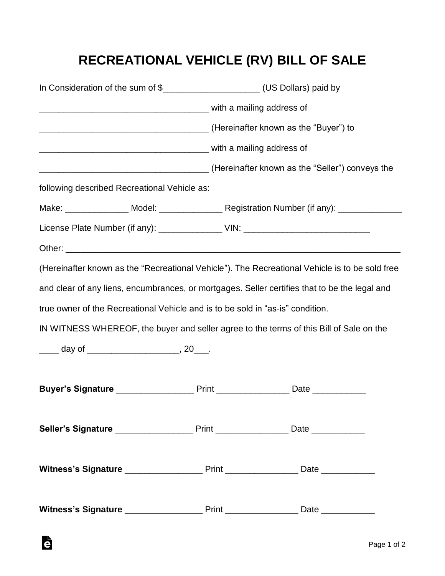## **RECREATIONAL VEHICLE (RV) BILL OF SALE**

|                                                                                                |  | In Consideration of the sum of \$________________________(US Dollars) paid by<br>(Hereinafter known as the "Seller") conveys the |  |  |
|------------------------------------------------------------------------------------------------|--|----------------------------------------------------------------------------------------------------------------------------------|--|--|
|                                                                                                |  |                                                                                                                                  |  |  |
|                                                                                                |  |                                                                                                                                  |  |  |
|                                                                                                |  |                                                                                                                                  |  |  |
|                                                                                                |  |                                                                                                                                  |  |  |
| following described Recreational Vehicle as:                                                   |  |                                                                                                                                  |  |  |
|                                                                                                |  |                                                                                                                                  |  |  |
| License Plate Number (if any): _________________ VIN: __________________________               |  |                                                                                                                                  |  |  |
|                                                                                                |  |                                                                                                                                  |  |  |
| (Hereinafter known as the "Recreational Vehicle"). The Recreational Vehicle is to be sold free |  |                                                                                                                                  |  |  |
| and clear of any liens, encumbrances, or mortgages. Seller certifies that to be the legal and  |  |                                                                                                                                  |  |  |
| true owner of the Recreational Vehicle and is to be sold in "as-is" condition.                 |  |                                                                                                                                  |  |  |
| IN WITNESS WHEREOF, the buyer and seller agree to the terms of this Bill of Sale on the        |  |                                                                                                                                  |  |  |
|                                                                                                |  |                                                                                                                                  |  |  |
|                                                                                                |  |                                                                                                                                  |  |  |
|                                                                                                |  |                                                                                                                                  |  |  |
|                                                                                                |  |                                                                                                                                  |  |  |
|                                                                                                |  |                                                                                                                                  |  |  |